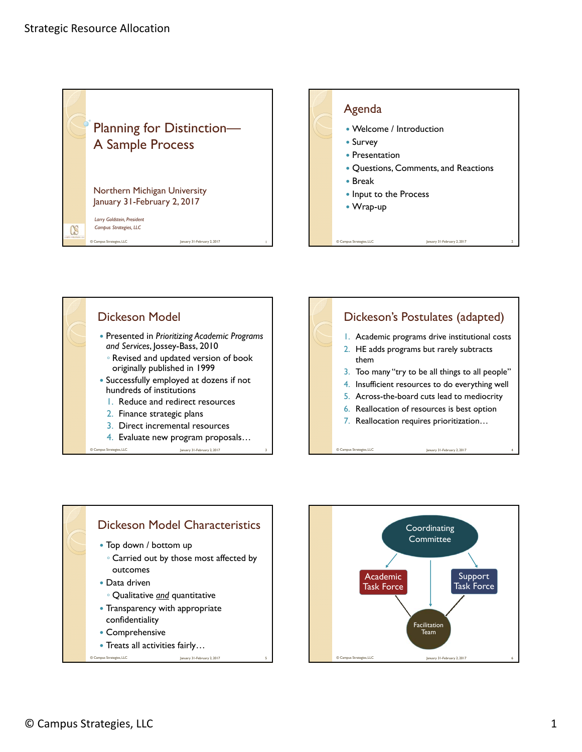







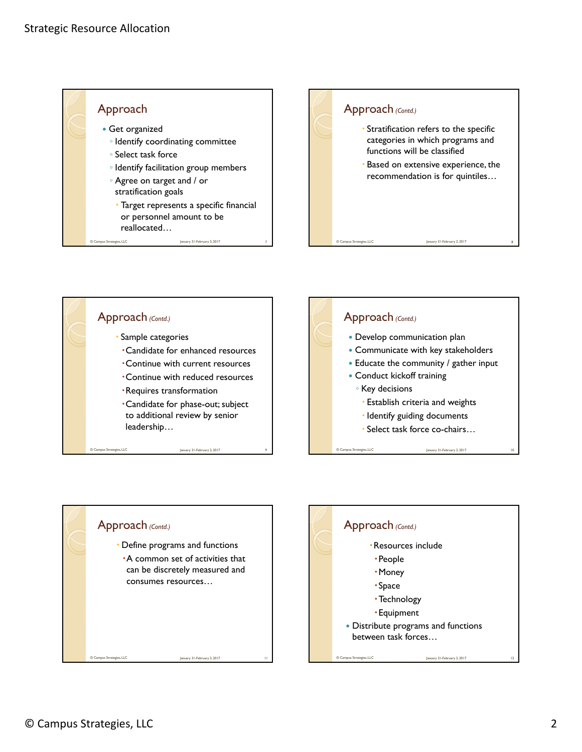





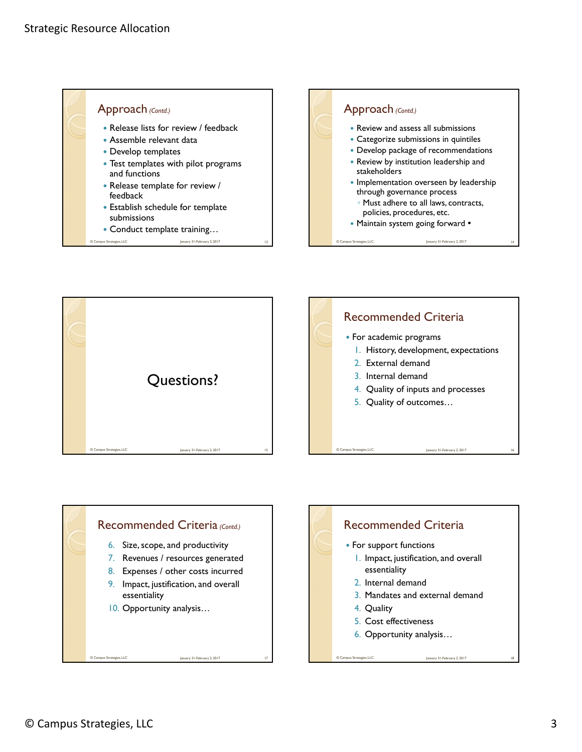